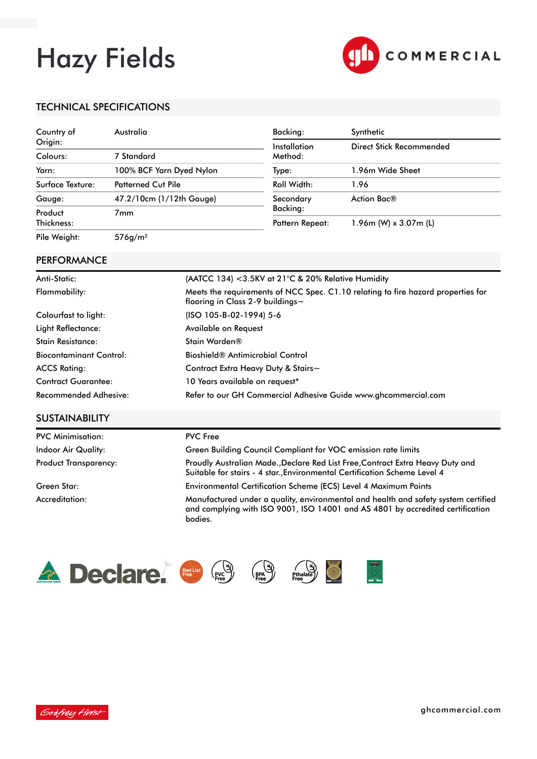# Hazy Fields



### TECHNICAL SPECIFICATIONS

| Country of       | Australia                 | Backing:               | Synthetic                   |
|------------------|---------------------------|------------------------|-----------------------------|
| Origin:          |                           | Installation           | Direct Stick Recommended    |
| Colours:         | 7 Standard                | Method:                |                             |
| Yarn:            | 100% BCF Yarn Dyed Nylon  | Type:                  | 1.96m Wide Sheet            |
| Surface Texture: | <b>Patterned Cut Pile</b> | Roll Width:            | 1.96                        |
| Gauge:           | 47.2/10cm (1/12th Gauge)  | Secondary              | Action Bac®                 |
| Product          | 7 <sub>mm</sub>           | Backing:               |                             |
| Thickness:       |                           | <b>Pattern Repeat:</b> | $1.96$ m (W) x $3.07$ m (L) |
| Pile Weight:     | 576g/m <sup>2</sup>       |                        |                             |

#### **PERFORMANCE**

| Anti-Static:                   | (AATCC 134) < 3.5KV at 21°C & 20% Relative Humidity                                                                        |
|--------------------------------|----------------------------------------------------------------------------------------------------------------------------|
| Flammability:                  | Meets the requirements of NCC Spec. C1.10 relating to fire hazard properties for<br>flooring in Class 2-9 buildings $\sim$ |
| Colourfast to light:           | (ISO 105-B-02-1994) 5-6                                                                                                    |
| Light Reflectance:             | Available on Request                                                                                                       |
| <b>Stain Resistance:</b>       | Stain Warden®                                                                                                              |
| <b>Biocontaminant Control:</b> | Bioshield <sup>®</sup> Antimicrobial Control                                                                               |
| <b>ACCS Rating:</b>            | Contract Extra Heavy Duty & Stairs~                                                                                        |
| <b>Contract Guarantee:</b>     | 10 Years available on request*                                                                                             |
| Recommended Adhesive:          | Refer to our GH Commercial Adhesive Guide www.ghcommercial.com                                                             |

## **SUSTAINABILITY**

| <b>PVC Minimisation:</b> | <b>PVC Free</b>                                                                                                                                                      |
|--------------------------|----------------------------------------------------------------------------------------------------------------------------------------------------------------------|
| Indoor Air Quality:      | Green Building Council Compliant for VOC emission rate limits                                                                                                        |
| Product Transparency:    | Proudly Australian Made., Declare Red List Free, Contract Extra Heavy Duty and<br>Suitable for stairs - 4 star. Environmental Certification Scheme Level 4           |
| Green Star:              | Environmental Certification Scheme (ECS) Level 4 Maximum Points                                                                                                      |
| Accreditation:           | Manufactured under a quality, environmental and health and safety system certified<br>and complying with ISO 9001, ISO 14001 and AS 4801 by accredited certification |





bodies.